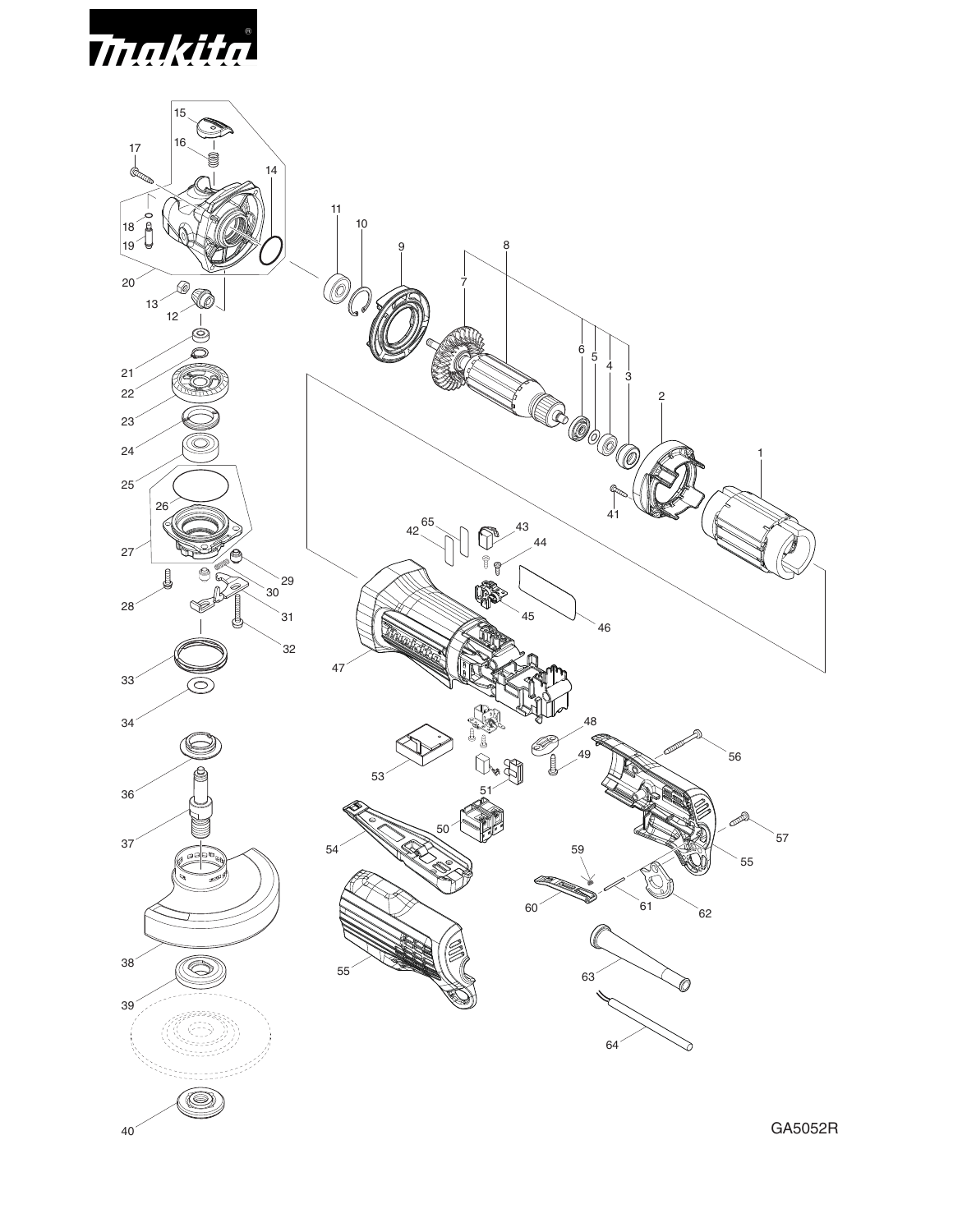

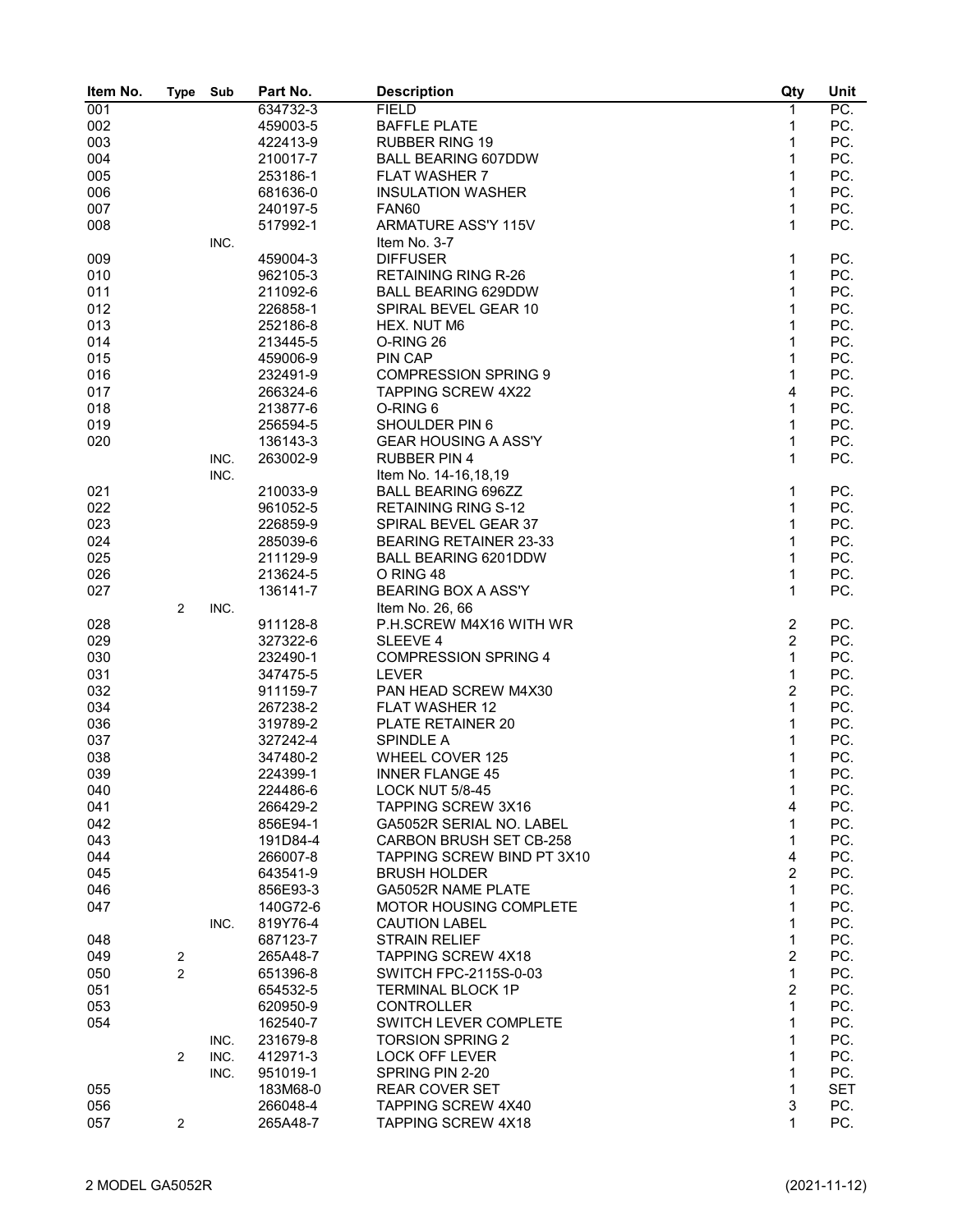| 634732-3<br>PC.<br>001<br><b>FIELD</b><br>1<br>$\mathbf{1}$<br>PC.<br>002<br>459003-5<br><b>BAFFLE PLATE</b><br>003<br>$\mathbf{1}$<br>PC.<br>422413-9<br><b>RUBBER RING 19</b><br>$\mathbf{1}$<br>PC.<br>004<br>210017-7<br><b>BALL BEARING 607DDW</b><br>$\mathbf{1}$<br>005<br><b>FLAT WASHER 7</b><br>PC.<br>253186-1<br>$\mathbf{1}$<br>006<br>681636-0<br><b>INSULATION WASHER</b><br>PC.<br>007<br>1<br>PC.<br>240197-5<br>FAN60<br>$\mathbf{1}$<br>PC.<br>008<br>517992-1<br>ARMATURE ASS'Y 115V<br>INC.<br>Item No. 3-7<br>1<br><b>DIFFUSER</b><br>PC.<br>009<br>459004-3<br>$\mathbf{1}$<br>PC.<br>962105-3<br><b>RETAINING RING R-26</b><br>010<br>$\mathbf{1}$<br>PC.<br>011<br>211092-6<br><b>BALL BEARING 629DDW</b><br>PC.<br>012<br>1<br>226858-1<br>SPIRAL BEVEL GEAR 10<br>$\mathbf{1}$<br>013<br>252186-8<br>HEX. NUT M6<br>PC.<br>014<br>O-RING 26<br>1<br>PC.<br>213445-5<br>PC.<br>015<br>459006-9<br>PIN CAP<br>1<br>PC.<br>016<br>232491-9<br><b>COMPRESSION SPRING 9</b><br>1<br>$\overline{4}$<br>PC.<br>017<br><b>TAPPING SCREW 4X22</b><br>266324-6<br>$\mathbf{1}$<br>018<br>213877-6<br>O-RING 6<br>PC.<br>$\mathbf{1}$<br>PC.<br>256594-5<br>SHOULDER PIN 6<br>019<br>$\mathbf{1}$<br>020<br><b>GEAR HOUSING A ASS'Y</b><br>PC.<br>136143-3<br>$\mathbf{1}$<br>263002-9<br><b>RUBBER PIN 4</b><br>PC.<br>INC.<br>Item No. 14-16,18,19<br>INC.<br>021<br>210033-9<br><b>BALL BEARING 696ZZ</b><br>1<br>PC.<br>022<br>PC.<br>961052-5<br><b>RETAINING RING S-12</b><br>1<br>023<br>$\mathbf{1}$<br>PC.<br>226859-9<br>SPIRAL BEVEL GEAR 37<br>PC.<br>024<br>1<br>285039-6<br><b>BEARING RETAINER 23-33</b><br>$\mathbf{1}$<br>025<br>211129-9<br>BALL BEARING 6201DDW<br>PC.<br>$\mathbf{1}$<br>213624-5<br>O RING 48<br>PC.<br>026<br>$\mathbf{1}$<br>PC.<br>027<br>136141-7<br><b>BEARING BOX A ASS'Y</b><br>$\overline{2}$<br>INC.<br>Item No. 26, 66<br>$\sqrt{2}$<br>PC.<br>028<br>911128-8<br>P.H.SCREW M4X16 WITH WR<br>$\overline{c}$<br>029<br>327322-6<br>PC.<br>SLEEVE 4<br>$\mathbf{1}$<br>PC.<br>030<br>232490-1<br><b>COMPRESSION SPRING 4</b><br>$\mathbf{1}$<br>031<br><b>LEVER</b><br>PC.<br>347475-5<br>$\overline{2}$<br>PC.<br>032<br>PAN HEAD SCREW M4X30<br>911159-7<br>$\mathbf{1}$<br>034<br>267238-2<br><b>FLAT WASHER 12</b><br>PC.<br>1<br>036<br>319789-2<br>PLATE RETAINER 20<br>PC.<br>PC.<br>037<br>327242-4<br><b>SPINDLE A</b><br>1<br>038<br>347480-2<br><b>WHEEL COVER 125</b><br>PC.<br>1<br>$\mathbf 1$<br>PC.<br>039<br>224399-1<br><b>INNER FLANGE 45</b><br>040<br>224486-6<br><b>LOCK NUT 5/8-45</b><br>1<br>PC.<br>TAPPING SCREW 3X16<br>4<br>PC.<br>041<br>266429-2<br>PC.<br>042<br>856E94-1<br>GA5052R SERIAL NO. LABEL<br>1<br>PC.<br>043<br><b>CARBON BRUSH SET CB-258</b><br>1<br>191D84-4<br>$\overline{\mathbf{4}}$<br>PC.<br>044<br>TAPPING SCREW BIND PT 3X10<br>266007-8<br>$\overline{c}$<br>045<br>643541-9<br><b>BRUSH HOLDER</b><br>PC.<br>PC.<br>GA5052R NAME PLATE<br>1<br>046<br>856E93-3<br>$\mathbf{1}$<br>PC.<br>140G72-6<br>MOTOR HOUSING COMPLETE<br>047<br>1<br>PC.<br>819Y76-4<br><b>CAUTION LABEL</b><br>INC.<br>1<br>PC.<br>687123-7<br><b>STRAIN RELIEF</b><br>048<br>$\overline{c}$<br>PC.<br><b>TAPPING SCREW 4X18</b><br>049<br>$\sqrt{2}$<br>265A48-7<br>$\mathbf{1}$<br>$\overline{2}$<br>PC.<br>050<br>SWITCH FPC-2115S-0-03<br>651396-8<br>$\overline{2}$<br>PC.<br>051<br>654532-5<br><b>TERMINAL BLOCK 1P</b><br>$\mathbf{1}$<br>053<br>620950-9<br><b>CONTROLLER</b><br>PC.<br>$\mathbf{1}$<br>162540-7<br>SWITCH LEVER COMPLETE<br>PC.<br>054<br>PC.<br><b>TORSION SPRING 2</b><br>1<br>231679-8<br>INC.<br><b>LOCK OFF LEVER</b><br>1<br>PC.<br>$\overline{2}$<br>INC.<br>412971-3<br>$\mathbf{1}$<br>PC.<br>SPRING PIN 2-20<br>INC.<br>951019-1<br>1<br>183M68-0<br><b>REAR COVER SET</b><br>SET<br>055<br>3<br>056<br>266048-4<br>TAPPING SCREW 4X40<br>PC.<br>1<br>PC.<br>057<br>265A48-7<br><b>TAPPING SCREW 4X18</b><br>2 | Item No. | <b>Type</b> | Sub | Part No. | <b>Description</b> | Qty | Unit |
|-----------------------------------------------------------------------------------------------------------------------------------------------------------------------------------------------------------------------------------------------------------------------------------------------------------------------------------------------------------------------------------------------------------------------------------------------------------------------------------------------------------------------------------------------------------------------------------------------------------------------------------------------------------------------------------------------------------------------------------------------------------------------------------------------------------------------------------------------------------------------------------------------------------------------------------------------------------------------------------------------------------------------------------------------------------------------------------------------------------------------------------------------------------------------------------------------------------------------------------------------------------------------------------------------------------------------------------------------------------------------------------------------------------------------------------------------------------------------------------------------------------------------------------------------------------------------------------------------------------------------------------------------------------------------------------------------------------------------------------------------------------------------------------------------------------------------------------------------------------------------------------------------------------------------------------------------------------------------------------------------------------------------------------------------------------------------------------------------------------------------------------------------------------------------------------------------------------------------------------------------------------------------------------------------------------------------------------------------------------------------------------------------------------------------------------------------------------------------------------------------------------------------------------------------------------------------------------------------------------------------------------------------------------------------------------------------------------------------------------------------------------------------------------------------------------------------------------------------------------------------------------------------------------------------------------------------------------------------------------------------------------------------------------------------------------------------------------------------------------------------------------------------------------------------------------------------------------------------------------------------------------------------------------------------------------------------------------------------------------------------------------------------------------------------------------------------------------------------------------------------------------------------------------------------------------------------------------------------------------------------------------------------------------------------------------------------------------------------------------------------------------------------------------------------------------------------------------------------------------------------------------------------------------------------------------------------|----------|-------------|-----|----------|--------------------|-----|------|
|                                                                                                                                                                                                                                                                                                                                                                                                                                                                                                                                                                                                                                                                                                                                                                                                                                                                                                                                                                                                                                                                                                                                                                                                                                                                                                                                                                                                                                                                                                                                                                                                                                                                                                                                                                                                                                                                                                                                                                                                                                                                                                                                                                                                                                                                                                                                                                                                                                                                                                                                                                                                                                                                                                                                                                                                                                                                                                                                                                                                                                                                                                                                                                                                                                                                                                                                                                                                                                                                                                                                                                                                                                                                                                                                                                                                                                                                                                                                               |          |             |     |          |                    |     |      |
|                                                                                                                                                                                                                                                                                                                                                                                                                                                                                                                                                                                                                                                                                                                                                                                                                                                                                                                                                                                                                                                                                                                                                                                                                                                                                                                                                                                                                                                                                                                                                                                                                                                                                                                                                                                                                                                                                                                                                                                                                                                                                                                                                                                                                                                                                                                                                                                                                                                                                                                                                                                                                                                                                                                                                                                                                                                                                                                                                                                                                                                                                                                                                                                                                                                                                                                                                                                                                                                                                                                                                                                                                                                                                                                                                                                                                                                                                                                                               |          |             |     |          |                    |     |      |
|                                                                                                                                                                                                                                                                                                                                                                                                                                                                                                                                                                                                                                                                                                                                                                                                                                                                                                                                                                                                                                                                                                                                                                                                                                                                                                                                                                                                                                                                                                                                                                                                                                                                                                                                                                                                                                                                                                                                                                                                                                                                                                                                                                                                                                                                                                                                                                                                                                                                                                                                                                                                                                                                                                                                                                                                                                                                                                                                                                                                                                                                                                                                                                                                                                                                                                                                                                                                                                                                                                                                                                                                                                                                                                                                                                                                                                                                                                                                               |          |             |     |          |                    |     |      |
|                                                                                                                                                                                                                                                                                                                                                                                                                                                                                                                                                                                                                                                                                                                                                                                                                                                                                                                                                                                                                                                                                                                                                                                                                                                                                                                                                                                                                                                                                                                                                                                                                                                                                                                                                                                                                                                                                                                                                                                                                                                                                                                                                                                                                                                                                                                                                                                                                                                                                                                                                                                                                                                                                                                                                                                                                                                                                                                                                                                                                                                                                                                                                                                                                                                                                                                                                                                                                                                                                                                                                                                                                                                                                                                                                                                                                                                                                                                                               |          |             |     |          |                    |     |      |
|                                                                                                                                                                                                                                                                                                                                                                                                                                                                                                                                                                                                                                                                                                                                                                                                                                                                                                                                                                                                                                                                                                                                                                                                                                                                                                                                                                                                                                                                                                                                                                                                                                                                                                                                                                                                                                                                                                                                                                                                                                                                                                                                                                                                                                                                                                                                                                                                                                                                                                                                                                                                                                                                                                                                                                                                                                                                                                                                                                                                                                                                                                                                                                                                                                                                                                                                                                                                                                                                                                                                                                                                                                                                                                                                                                                                                                                                                                                                               |          |             |     |          |                    |     |      |
|                                                                                                                                                                                                                                                                                                                                                                                                                                                                                                                                                                                                                                                                                                                                                                                                                                                                                                                                                                                                                                                                                                                                                                                                                                                                                                                                                                                                                                                                                                                                                                                                                                                                                                                                                                                                                                                                                                                                                                                                                                                                                                                                                                                                                                                                                                                                                                                                                                                                                                                                                                                                                                                                                                                                                                                                                                                                                                                                                                                                                                                                                                                                                                                                                                                                                                                                                                                                                                                                                                                                                                                                                                                                                                                                                                                                                                                                                                                                               |          |             |     |          |                    |     |      |
|                                                                                                                                                                                                                                                                                                                                                                                                                                                                                                                                                                                                                                                                                                                                                                                                                                                                                                                                                                                                                                                                                                                                                                                                                                                                                                                                                                                                                                                                                                                                                                                                                                                                                                                                                                                                                                                                                                                                                                                                                                                                                                                                                                                                                                                                                                                                                                                                                                                                                                                                                                                                                                                                                                                                                                                                                                                                                                                                                                                                                                                                                                                                                                                                                                                                                                                                                                                                                                                                                                                                                                                                                                                                                                                                                                                                                                                                                                                                               |          |             |     |          |                    |     |      |
|                                                                                                                                                                                                                                                                                                                                                                                                                                                                                                                                                                                                                                                                                                                                                                                                                                                                                                                                                                                                                                                                                                                                                                                                                                                                                                                                                                                                                                                                                                                                                                                                                                                                                                                                                                                                                                                                                                                                                                                                                                                                                                                                                                                                                                                                                                                                                                                                                                                                                                                                                                                                                                                                                                                                                                                                                                                                                                                                                                                                                                                                                                                                                                                                                                                                                                                                                                                                                                                                                                                                                                                                                                                                                                                                                                                                                                                                                                                                               |          |             |     |          |                    |     |      |
|                                                                                                                                                                                                                                                                                                                                                                                                                                                                                                                                                                                                                                                                                                                                                                                                                                                                                                                                                                                                                                                                                                                                                                                                                                                                                                                                                                                                                                                                                                                                                                                                                                                                                                                                                                                                                                                                                                                                                                                                                                                                                                                                                                                                                                                                                                                                                                                                                                                                                                                                                                                                                                                                                                                                                                                                                                                                                                                                                                                                                                                                                                                                                                                                                                                                                                                                                                                                                                                                                                                                                                                                                                                                                                                                                                                                                                                                                                                                               |          |             |     |          |                    |     |      |
|                                                                                                                                                                                                                                                                                                                                                                                                                                                                                                                                                                                                                                                                                                                                                                                                                                                                                                                                                                                                                                                                                                                                                                                                                                                                                                                                                                                                                                                                                                                                                                                                                                                                                                                                                                                                                                                                                                                                                                                                                                                                                                                                                                                                                                                                                                                                                                                                                                                                                                                                                                                                                                                                                                                                                                                                                                                                                                                                                                                                                                                                                                                                                                                                                                                                                                                                                                                                                                                                                                                                                                                                                                                                                                                                                                                                                                                                                                                                               |          |             |     |          |                    |     |      |
|                                                                                                                                                                                                                                                                                                                                                                                                                                                                                                                                                                                                                                                                                                                                                                                                                                                                                                                                                                                                                                                                                                                                                                                                                                                                                                                                                                                                                                                                                                                                                                                                                                                                                                                                                                                                                                                                                                                                                                                                                                                                                                                                                                                                                                                                                                                                                                                                                                                                                                                                                                                                                                                                                                                                                                                                                                                                                                                                                                                                                                                                                                                                                                                                                                                                                                                                                                                                                                                                                                                                                                                                                                                                                                                                                                                                                                                                                                                                               |          |             |     |          |                    |     |      |
|                                                                                                                                                                                                                                                                                                                                                                                                                                                                                                                                                                                                                                                                                                                                                                                                                                                                                                                                                                                                                                                                                                                                                                                                                                                                                                                                                                                                                                                                                                                                                                                                                                                                                                                                                                                                                                                                                                                                                                                                                                                                                                                                                                                                                                                                                                                                                                                                                                                                                                                                                                                                                                                                                                                                                                                                                                                                                                                                                                                                                                                                                                                                                                                                                                                                                                                                                                                                                                                                                                                                                                                                                                                                                                                                                                                                                                                                                                                                               |          |             |     |          |                    |     |      |
|                                                                                                                                                                                                                                                                                                                                                                                                                                                                                                                                                                                                                                                                                                                                                                                                                                                                                                                                                                                                                                                                                                                                                                                                                                                                                                                                                                                                                                                                                                                                                                                                                                                                                                                                                                                                                                                                                                                                                                                                                                                                                                                                                                                                                                                                                                                                                                                                                                                                                                                                                                                                                                                                                                                                                                                                                                                                                                                                                                                                                                                                                                                                                                                                                                                                                                                                                                                                                                                                                                                                                                                                                                                                                                                                                                                                                                                                                                                                               |          |             |     |          |                    |     |      |
|                                                                                                                                                                                                                                                                                                                                                                                                                                                                                                                                                                                                                                                                                                                                                                                                                                                                                                                                                                                                                                                                                                                                                                                                                                                                                                                                                                                                                                                                                                                                                                                                                                                                                                                                                                                                                                                                                                                                                                                                                                                                                                                                                                                                                                                                                                                                                                                                                                                                                                                                                                                                                                                                                                                                                                                                                                                                                                                                                                                                                                                                                                                                                                                                                                                                                                                                                                                                                                                                                                                                                                                                                                                                                                                                                                                                                                                                                                                                               |          |             |     |          |                    |     |      |
|                                                                                                                                                                                                                                                                                                                                                                                                                                                                                                                                                                                                                                                                                                                                                                                                                                                                                                                                                                                                                                                                                                                                                                                                                                                                                                                                                                                                                                                                                                                                                                                                                                                                                                                                                                                                                                                                                                                                                                                                                                                                                                                                                                                                                                                                                                                                                                                                                                                                                                                                                                                                                                                                                                                                                                                                                                                                                                                                                                                                                                                                                                                                                                                                                                                                                                                                                                                                                                                                                                                                                                                                                                                                                                                                                                                                                                                                                                                                               |          |             |     |          |                    |     |      |
|                                                                                                                                                                                                                                                                                                                                                                                                                                                                                                                                                                                                                                                                                                                                                                                                                                                                                                                                                                                                                                                                                                                                                                                                                                                                                                                                                                                                                                                                                                                                                                                                                                                                                                                                                                                                                                                                                                                                                                                                                                                                                                                                                                                                                                                                                                                                                                                                                                                                                                                                                                                                                                                                                                                                                                                                                                                                                                                                                                                                                                                                                                                                                                                                                                                                                                                                                                                                                                                                                                                                                                                                                                                                                                                                                                                                                                                                                                                                               |          |             |     |          |                    |     |      |
|                                                                                                                                                                                                                                                                                                                                                                                                                                                                                                                                                                                                                                                                                                                                                                                                                                                                                                                                                                                                                                                                                                                                                                                                                                                                                                                                                                                                                                                                                                                                                                                                                                                                                                                                                                                                                                                                                                                                                                                                                                                                                                                                                                                                                                                                                                                                                                                                                                                                                                                                                                                                                                                                                                                                                                                                                                                                                                                                                                                                                                                                                                                                                                                                                                                                                                                                                                                                                                                                                                                                                                                                                                                                                                                                                                                                                                                                                                                                               |          |             |     |          |                    |     |      |
|                                                                                                                                                                                                                                                                                                                                                                                                                                                                                                                                                                                                                                                                                                                                                                                                                                                                                                                                                                                                                                                                                                                                                                                                                                                                                                                                                                                                                                                                                                                                                                                                                                                                                                                                                                                                                                                                                                                                                                                                                                                                                                                                                                                                                                                                                                                                                                                                                                                                                                                                                                                                                                                                                                                                                                                                                                                                                                                                                                                                                                                                                                                                                                                                                                                                                                                                                                                                                                                                                                                                                                                                                                                                                                                                                                                                                                                                                                                                               |          |             |     |          |                    |     |      |
|                                                                                                                                                                                                                                                                                                                                                                                                                                                                                                                                                                                                                                                                                                                                                                                                                                                                                                                                                                                                                                                                                                                                                                                                                                                                                                                                                                                                                                                                                                                                                                                                                                                                                                                                                                                                                                                                                                                                                                                                                                                                                                                                                                                                                                                                                                                                                                                                                                                                                                                                                                                                                                                                                                                                                                                                                                                                                                                                                                                                                                                                                                                                                                                                                                                                                                                                                                                                                                                                                                                                                                                                                                                                                                                                                                                                                                                                                                                                               |          |             |     |          |                    |     |      |
|                                                                                                                                                                                                                                                                                                                                                                                                                                                                                                                                                                                                                                                                                                                                                                                                                                                                                                                                                                                                                                                                                                                                                                                                                                                                                                                                                                                                                                                                                                                                                                                                                                                                                                                                                                                                                                                                                                                                                                                                                                                                                                                                                                                                                                                                                                                                                                                                                                                                                                                                                                                                                                                                                                                                                                                                                                                                                                                                                                                                                                                                                                                                                                                                                                                                                                                                                                                                                                                                                                                                                                                                                                                                                                                                                                                                                                                                                                                                               |          |             |     |          |                    |     |      |
|                                                                                                                                                                                                                                                                                                                                                                                                                                                                                                                                                                                                                                                                                                                                                                                                                                                                                                                                                                                                                                                                                                                                                                                                                                                                                                                                                                                                                                                                                                                                                                                                                                                                                                                                                                                                                                                                                                                                                                                                                                                                                                                                                                                                                                                                                                                                                                                                                                                                                                                                                                                                                                                                                                                                                                                                                                                                                                                                                                                                                                                                                                                                                                                                                                                                                                                                                                                                                                                                                                                                                                                                                                                                                                                                                                                                                                                                                                                                               |          |             |     |          |                    |     |      |
|                                                                                                                                                                                                                                                                                                                                                                                                                                                                                                                                                                                                                                                                                                                                                                                                                                                                                                                                                                                                                                                                                                                                                                                                                                                                                                                                                                                                                                                                                                                                                                                                                                                                                                                                                                                                                                                                                                                                                                                                                                                                                                                                                                                                                                                                                                                                                                                                                                                                                                                                                                                                                                                                                                                                                                                                                                                                                                                                                                                                                                                                                                                                                                                                                                                                                                                                                                                                                                                                                                                                                                                                                                                                                                                                                                                                                                                                                                                                               |          |             |     |          |                    |     |      |
|                                                                                                                                                                                                                                                                                                                                                                                                                                                                                                                                                                                                                                                                                                                                                                                                                                                                                                                                                                                                                                                                                                                                                                                                                                                                                                                                                                                                                                                                                                                                                                                                                                                                                                                                                                                                                                                                                                                                                                                                                                                                                                                                                                                                                                                                                                                                                                                                                                                                                                                                                                                                                                                                                                                                                                                                                                                                                                                                                                                                                                                                                                                                                                                                                                                                                                                                                                                                                                                                                                                                                                                                                                                                                                                                                                                                                                                                                                                                               |          |             |     |          |                    |     |      |
|                                                                                                                                                                                                                                                                                                                                                                                                                                                                                                                                                                                                                                                                                                                                                                                                                                                                                                                                                                                                                                                                                                                                                                                                                                                                                                                                                                                                                                                                                                                                                                                                                                                                                                                                                                                                                                                                                                                                                                                                                                                                                                                                                                                                                                                                                                                                                                                                                                                                                                                                                                                                                                                                                                                                                                                                                                                                                                                                                                                                                                                                                                                                                                                                                                                                                                                                                                                                                                                                                                                                                                                                                                                                                                                                                                                                                                                                                                                                               |          |             |     |          |                    |     |      |
|                                                                                                                                                                                                                                                                                                                                                                                                                                                                                                                                                                                                                                                                                                                                                                                                                                                                                                                                                                                                                                                                                                                                                                                                                                                                                                                                                                                                                                                                                                                                                                                                                                                                                                                                                                                                                                                                                                                                                                                                                                                                                                                                                                                                                                                                                                                                                                                                                                                                                                                                                                                                                                                                                                                                                                                                                                                                                                                                                                                                                                                                                                                                                                                                                                                                                                                                                                                                                                                                                                                                                                                                                                                                                                                                                                                                                                                                                                                                               |          |             |     |          |                    |     |      |
|                                                                                                                                                                                                                                                                                                                                                                                                                                                                                                                                                                                                                                                                                                                                                                                                                                                                                                                                                                                                                                                                                                                                                                                                                                                                                                                                                                                                                                                                                                                                                                                                                                                                                                                                                                                                                                                                                                                                                                                                                                                                                                                                                                                                                                                                                                                                                                                                                                                                                                                                                                                                                                                                                                                                                                                                                                                                                                                                                                                                                                                                                                                                                                                                                                                                                                                                                                                                                                                                                                                                                                                                                                                                                                                                                                                                                                                                                                                                               |          |             |     |          |                    |     |      |
|                                                                                                                                                                                                                                                                                                                                                                                                                                                                                                                                                                                                                                                                                                                                                                                                                                                                                                                                                                                                                                                                                                                                                                                                                                                                                                                                                                                                                                                                                                                                                                                                                                                                                                                                                                                                                                                                                                                                                                                                                                                                                                                                                                                                                                                                                                                                                                                                                                                                                                                                                                                                                                                                                                                                                                                                                                                                                                                                                                                                                                                                                                                                                                                                                                                                                                                                                                                                                                                                                                                                                                                                                                                                                                                                                                                                                                                                                                                                               |          |             |     |          |                    |     |      |
|                                                                                                                                                                                                                                                                                                                                                                                                                                                                                                                                                                                                                                                                                                                                                                                                                                                                                                                                                                                                                                                                                                                                                                                                                                                                                                                                                                                                                                                                                                                                                                                                                                                                                                                                                                                                                                                                                                                                                                                                                                                                                                                                                                                                                                                                                                                                                                                                                                                                                                                                                                                                                                                                                                                                                                                                                                                                                                                                                                                                                                                                                                                                                                                                                                                                                                                                                                                                                                                                                                                                                                                                                                                                                                                                                                                                                                                                                                                                               |          |             |     |          |                    |     |      |
|                                                                                                                                                                                                                                                                                                                                                                                                                                                                                                                                                                                                                                                                                                                                                                                                                                                                                                                                                                                                                                                                                                                                                                                                                                                                                                                                                                                                                                                                                                                                                                                                                                                                                                                                                                                                                                                                                                                                                                                                                                                                                                                                                                                                                                                                                                                                                                                                                                                                                                                                                                                                                                                                                                                                                                                                                                                                                                                                                                                                                                                                                                                                                                                                                                                                                                                                                                                                                                                                                                                                                                                                                                                                                                                                                                                                                                                                                                                                               |          |             |     |          |                    |     |      |
|                                                                                                                                                                                                                                                                                                                                                                                                                                                                                                                                                                                                                                                                                                                                                                                                                                                                                                                                                                                                                                                                                                                                                                                                                                                                                                                                                                                                                                                                                                                                                                                                                                                                                                                                                                                                                                                                                                                                                                                                                                                                                                                                                                                                                                                                                                                                                                                                                                                                                                                                                                                                                                                                                                                                                                                                                                                                                                                                                                                                                                                                                                                                                                                                                                                                                                                                                                                                                                                                                                                                                                                                                                                                                                                                                                                                                                                                                                                                               |          |             |     |          |                    |     |      |
|                                                                                                                                                                                                                                                                                                                                                                                                                                                                                                                                                                                                                                                                                                                                                                                                                                                                                                                                                                                                                                                                                                                                                                                                                                                                                                                                                                                                                                                                                                                                                                                                                                                                                                                                                                                                                                                                                                                                                                                                                                                                                                                                                                                                                                                                                                                                                                                                                                                                                                                                                                                                                                                                                                                                                                                                                                                                                                                                                                                                                                                                                                                                                                                                                                                                                                                                                                                                                                                                                                                                                                                                                                                                                                                                                                                                                                                                                                                                               |          |             |     |          |                    |     |      |
|                                                                                                                                                                                                                                                                                                                                                                                                                                                                                                                                                                                                                                                                                                                                                                                                                                                                                                                                                                                                                                                                                                                                                                                                                                                                                                                                                                                                                                                                                                                                                                                                                                                                                                                                                                                                                                                                                                                                                                                                                                                                                                                                                                                                                                                                                                                                                                                                                                                                                                                                                                                                                                                                                                                                                                                                                                                                                                                                                                                                                                                                                                                                                                                                                                                                                                                                                                                                                                                                                                                                                                                                                                                                                                                                                                                                                                                                                                                                               |          |             |     |          |                    |     |      |
|                                                                                                                                                                                                                                                                                                                                                                                                                                                                                                                                                                                                                                                                                                                                                                                                                                                                                                                                                                                                                                                                                                                                                                                                                                                                                                                                                                                                                                                                                                                                                                                                                                                                                                                                                                                                                                                                                                                                                                                                                                                                                                                                                                                                                                                                                                                                                                                                                                                                                                                                                                                                                                                                                                                                                                                                                                                                                                                                                                                                                                                                                                                                                                                                                                                                                                                                                                                                                                                                                                                                                                                                                                                                                                                                                                                                                                                                                                                                               |          |             |     |          |                    |     |      |
|                                                                                                                                                                                                                                                                                                                                                                                                                                                                                                                                                                                                                                                                                                                                                                                                                                                                                                                                                                                                                                                                                                                                                                                                                                                                                                                                                                                                                                                                                                                                                                                                                                                                                                                                                                                                                                                                                                                                                                                                                                                                                                                                                                                                                                                                                                                                                                                                                                                                                                                                                                                                                                                                                                                                                                                                                                                                                                                                                                                                                                                                                                                                                                                                                                                                                                                                                                                                                                                                                                                                                                                                                                                                                                                                                                                                                                                                                                                                               |          |             |     |          |                    |     |      |
|                                                                                                                                                                                                                                                                                                                                                                                                                                                                                                                                                                                                                                                                                                                                                                                                                                                                                                                                                                                                                                                                                                                                                                                                                                                                                                                                                                                                                                                                                                                                                                                                                                                                                                                                                                                                                                                                                                                                                                                                                                                                                                                                                                                                                                                                                                                                                                                                                                                                                                                                                                                                                                                                                                                                                                                                                                                                                                                                                                                                                                                                                                                                                                                                                                                                                                                                                                                                                                                                                                                                                                                                                                                                                                                                                                                                                                                                                                                                               |          |             |     |          |                    |     |      |
|                                                                                                                                                                                                                                                                                                                                                                                                                                                                                                                                                                                                                                                                                                                                                                                                                                                                                                                                                                                                                                                                                                                                                                                                                                                                                                                                                                                                                                                                                                                                                                                                                                                                                                                                                                                                                                                                                                                                                                                                                                                                                                                                                                                                                                                                                                                                                                                                                                                                                                                                                                                                                                                                                                                                                                                                                                                                                                                                                                                                                                                                                                                                                                                                                                                                                                                                                                                                                                                                                                                                                                                                                                                                                                                                                                                                                                                                                                                                               |          |             |     |          |                    |     |      |
|                                                                                                                                                                                                                                                                                                                                                                                                                                                                                                                                                                                                                                                                                                                                                                                                                                                                                                                                                                                                                                                                                                                                                                                                                                                                                                                                                                                                                                                                                                                                                                                                                                                                                                                                                                                                                                                                                                                                                                                                                                                                                                                                                                                                                                                                                                                                                                                                                                                                                                                                                                                                                                                                                                                                                                                                                                                                                                                                                                                                                                                                                                                                                                                                                                                                                                                                                                                                                                                                                                                                                                                                                                                                                                                                                                                                                                                                                                                                               |          |             |     |          |                    |     |      |
|                                                                                                                                                                                                                                                                                                                                                                                                                                                                                                                                                                                                                                                                                                                                                                                                                                                                                                                                                                                                                                                                                                                                                                                                                                                                                                                                                                                                                                                                                                                                                                                                                                                                                                                                                                                                                                                                                                                                                                                                                                                                                                                                                                                                                                                                                                                                                                                                                                                                                                                                                                                                                                                                                                                                                                                                                                                                                                                                                                                                                                                                                                                                                                                                                                                                                                                                                                                                                                                                                                                                                                                                                                                                                                                                                                                                                                                                                                                                               |          |             |     |          |                    |     |      |
|                                                                                                                                                                                                                                                                                                                                                                                                                                                                                                                                                                                                                                                                                                                                                                                                                                                                                                                                                                                                                                                                                                                                                                                                                                                                                                                                                                                                                                                                                                                                                                                                                                                                                                                                                                                                                                                                                                                                                                                                                                                                                                                                                                                                                                                                                                                                                                                                                                                                                                                                                                                                                                                                                                                                                                                                                                                                                                                                                                                                                                                                                                                                                                                                                                                                                                                                                                                                                                                                                                                                                                                                                                                                                                                                                                                                                                                                                                                                               |          |             |     |          |                    |     |      |
|                                                                                                                                                                                                                                                                                                                                                                                                                                                                                                                                                                                                                                                                                                                                                                                                                                                                                                                                                                                                                                                                                                                                                                                                                                                                                                                                                                                                                                                                                                                                                                                                                                                                                                                                                                                                                                                                                                                                                                                                                                                                                                                                                                                                                                                                                                                                                                                                                                                                                                                                                                                                                                                                                                                                                                                                                                                                                                                                                                                                                                                                                                                                                                                                                                                                                                                                                                                                                                                                                                                                                                                                                                                                                                                                                                                                                                                                                                                                               |          |             |     |          |                    |     |      |
|                                                                                                                                                                                                                                                                                                                                                                                                                                                                                                                                                                                                                                                                                                                                                                                                                                                                                                                                                                                                                                                                                                                                                                                                                                                                                                                                                                                                                                                                                                                                                                                                                                                                                                                                                                                                                                                                                                                                                                                                                                                                                                                                                                                                                                                                                                                                                                                                                                                                                                                                                                                                                                                                                                                                                                                                                                                                                                                                                                                                                                                                                                                                                                                                                                                                                                                                                                                                                                                                                                                                                                                                                                                                                                                                                                                                                                                                                                                                               |          |             |     |          |                    |     |      |
|                                                                                                                                                                                                                                                                                                                                                                                                                                                                                                                                                                                                                                                                                                                                                                                                                                                                                                                                                                                                                                                                                                                                                                                                                                                                                                                                                                                                                                                                                                                                                                                                                                                                                                                                                                                                                                                                                                                                                                                                                                                                                                                                                                                                                                                                                                                                                                                                                                                                                                                                                                                                                                                                                                                                                                                                                                                                                                                                                                                                                                                                                                                                                                                                                                                                                                                                                                                                                                                                                                                                                                                                                                                                                                                                                                                                                                                                                                                                               |          |             |     |          |                    |     |      |
|                                                                                                                                                                                                                                                                                                                                                                                                                                                                                                                                                                                                                                                                                                                                                                                                                                                                                                                                                                                                                                                                                                                                                                                                                                                                                                                                                                                                                                                                                                                                                                                                                                                                                                                                                                                                                                                                                                                                                                                                                                                                                                                                                                                                                                                                                                                                                                                                                                                                                                                                                                                                                                                                                                                                                                                                                                                                                                                                                                                                                                                                                                                                                                                                                                                                                                                                                                                                                                                                                                                                                                                                                                                                                                                                                                                                                                                                                                                                               |          |             |     |          |                    |     |      |
|                                                                                                                                                                                                                                                                                                                                                                                                                                                                                                                                                                                                                                                                                                                                                                                                                                                                                                                                                                                                                                                                                                                                                                                                                                                                                                                                                                                                                                                                                                                                                                                                                                                                                                                                                                                                                                                                                                                                                                                                                                                                                                                                                                                                                                                                                                                                                                                                                                                                                                                                                                                                                                                                                                                                                                                                                                                                                                                                                                                                                                                                                                                                                                                                                                                                                                                                                                                                                                                                                                                                                                                                                                                                                                                                                                                                                                                                                                                                               |          |             |     |          |                    |     |      |
|                                                                                                                                                                                                                                                                                                                                                                                                                                                                                                                                                                                                                                                                                                                                                                                                                                                                                                                                                                                                                                                                                                                                                                                                                                                                                                                                                                                                                                                                                                                                                                                                                                                                                                                                                                                                                                                                                                                                                                                                                                                                                                                                                                                                                                                                                                                                                                                                                                                                                                                                                                                                                                                                                                                                                                                                                                                                                                                                                                                                                                                                                                                                                                                                                                                                                                                                                                                                                                                                                                                                                                                                                                                                                                                                                                                                                                                                                                                                               |          |             |     |          |                    |     |      |
|                                                                                                                                                                                                                                                                                                                                                                                                                                                                                                                                                                                                                                                                                                                                                                                                                                                                                                                                                                                                                                                                                                                                                                                                                                                                                                                                                                                                                                                                                                                                                                                                                                                                                                                                                                                                                                                                                                                                                                                                                                                                                                                                                                                                                                                                                                                                                                                                                                                                                                                                                                                                                                                                                                                                                                                                                                                                                                                                                                                                                                                                                                                                                                                                                                                                                                                                                                                                                                                                                                                                                                                                                                                                                                                                                                                                                                                                                                                                               |          |             |     |          |                    |     |      |
|                                                                                                                                                                                                                                                                                                                                                                                                                                                                                                                                                                                                                                                                                                                                                                                                                                                                                                                                                                                                                                                                                                                                                                                                                                                                                                                                                                                                                                                                                                                                                                                                                                                                                                                                                                                                                                                                                                                                                                                                                                                                                                                                                                                                                                                                                                                                                                                                                                                                                                                                                                                                                                                                                                                                                                                                                                                                                                                                                                                                                                                                                                                                                                                                                                                                                                                                                                                                                                                                                                                                                                                                                                                                                                                                                                                                                                                                                                                                               |          |             |     |          |                    |     |      |
|                                                                                                                                                                                                                                                                                                                                                                                                                                                                                                                                                                                                                                                                                                                                                                                                                                                                                                                                                                                                                                                                                                                                                                                                                                                                                                                                                                                                                                                                                                                                                                                                                                                                                                                                                                                                                                                                                                                                                                                                                                                                                                                                                                                                                                                                                                                                                                                                                                                                                                                                                                                                                                                                                                                                                                                                                                                                                                                                                                                                                                                                                                                                                                                                                                                                                                                                                                                                                                                                                                                                                                                                                                                                                                                                                                                                                                                                                                                                               |          |             |     |          |                    |     |      |
|                                                                                                                                                                                                                                                                                                                                                                                                                                                                                                                                                                                                                                                                                                                                                                                                                                                                                                                                                                                                                                                                                                                                                                                                                                                                                                                                                                                                                                                                                                                                                                                                                                                                                                                                                                                                                                                                                                                                                                                                                                                                                                                                                                                                                                                                                                                                                                                                                                                                                                                                                                                                                                                                                                                                                                                                                                                                                                                                                                                                                                                                                                                                                                                                                                                                                                                                                                                                                                                                                                                                                                                                                                                                                                                                                                                                                                                                                                                                               |          |             |     |          |                    |     |      |
|                                                                                                                                                                                                                                                                                                                                                                                                                                                                                                                                                                                                                                                                                                                                                                                                                                                                                                                                                                                                                                                                                                                                                                                                                                                                                                                                                                                                                                                                                                                                                                                                                                                                                                                                                                                                                                                                                                                                                                                                                                                                                                                                                                                                                                                                                                                                                                                                                                                                                                                                                                                                                                                                                                                                                                                                                                                                                                                                                                                                                                                                                                                                                                                                                                                                                                                                                                                                                                                                                                                                                                                                                                                                                                                                                                                                                                                                                                                                               |          |             |     |          |                    |     |      |
|                                                                                                                                                                                                                                                                                                                                                                                                                                                                                                                                                                                                                                                                                                                                                                                                                                                                                                                                                                                                                                                                                                                                                                                                                                                                                                                                                                                                                                                                                                                                                                                                                                                                                                                                                                                                                                                                                                                                                                                                                                                                                                                                                                                                                                                                                                                                                                                                                                                                                                                                                                                                                                                                                                                                                                                                                                                                                                                                                                                                                                                                                                                                                                                                                                                                                                                                                                                                                                                                                                                                                                                                                                                                                                                                                                                                                                                                                                                                               |          |             |     |          |                    |     |      |
|                                                                                                                                                                                                                                                                                                                                                                                                                                                                                                                                                                                                                                                                                                                                                                                                                                                                                                                                                                                                                                                                                                                                                                                                                                                                                                                                                                                                                                                                                                                                                                                                                                                                                                                                                                                                                                                                                                                                                                                                                                                                                                                                                                                                                                                                                                                                                                                                                                                                                                                                                                                                                                                                                                                                                                                                                                                                                                                                                                                                                                                                                                                                                                                                                                                                                                                                                                                                                                                                                                                                                                                                                                                                                                                                                                                                                                                                                                                                               |          |             |     |          |                    |     |      |
|                                                                                                                                                                                                                                                                                                                                                                                                                                                                                                                                                                                                                                                                                                                                                                                                                                                                                                                                                                                                                                                                                                                                                                                                                                                                                                                                                                                                                                                                                                                                                                                                                                                                                                                                                                                                                                                                                                                                                                                                                                                                                                                                                                                                                                                                                                                                                                                                                                                                                                                                                                                                                                                                                                                                                                                                                                                                                                                                                                                                                                                                                                                                                                                                                                                                                                                                                                                                                                                                                                                                                                                                                                                                                                                                                                                                                                                                                                                                               |          |             |     |          |                    |     |      |
|                                                                                                                                                                                                                                                                                                                                                                                                                                                                                                                                                                                                                                                                                                                                                                                                                                                                                                                                                                                                                                                                                                                                                                                                                                                                                                                                                                                                                                                                                                                                                                                                                                                                                                                                                                                                                                                                                                                                                                                                                                                                                                                                                                                                                                                                                                                                                                                                                                                                                                                                                                                                                                                                                                                                                                                                                                                                                                                                                                                                                                                                                                                                                                                                                                                                                                                                                                                                                                                                                                                                                                                                                                                                                                                                                                                                                                                                                                                                               |          |             |     |          |                    |     |      |
|                                                                                                                                                                                                                                                                                                                                                                                                                                                                                                                                                                                                                                                                                                                                                                                                                                                                                                                                                                                                                                                                                                                                                                                                                                                                                                                                                                                                                                                                                                                                                                                                                                                                                                                                                                                                                                                                                                                                                                                                                                                                                                                                                                                                                                                                                                                                                                                                                                                                                                                                                                                                                                                                                                                                                                                                                                                                                                                                                                                                                                                                                                                                                                                                                                                                                                                                                                                                                                                                                                                                                                                                                                                                                                                                                                                                                                                                                                                                               |          |             |     |          |                    |     |      |
|                                                                                                                                                                                                                                                                                                                                                                                                                                                                                                                                                                                                                                                                                                                                                                                                                                                                                                                                                                                                                                                                                                                                                                                                                                                                                                                                                                                                                                                                                                                                                                                                                                                                                                                                                                                                                                                                                                                                                                                                                                                                                                                                                                                                                                                                                                                                                                                                                                                                                                                                                                                                                                                                                                                                                                                                                                                                                                                                                                                                                                                                                                                                                                                                                                                                                                                                                                                                                                                                                                                                                                                                                                                                                                                                                                                                                                                                                                                                               |          |             |     |          |                    |     |      |
|                                                                                                                                                                                                                                                                                                                                                                                                                                                                                                                                                                                                                                                                                                                                                                                                                                                                                                                                                                                                                                                                                                                                                                                                                                                                                                                                                                                                                                                                                                                                                                                                                                                                                                                                                                                                                                                                                                                                                                                                                                                                                                                                                                                                                                                                                                                                                                                                                                                                                                                                                                                                                                                                                                                                                                                                                                                                                                                                                                                                                                                                                                                                                                                                                                                                                                                                                                                                                                                                                                                                                                                                                                                                                                                                                                                                                                                                                                                                               |          |             |     |          |                    |     |      |
|                                                                                                                                                                                                                                                                                                                                                                                                                                                                                                                                                                                                                                                                                                                                                                                                                                                                                                                                                                                                                                                                                                                                                                                                                                                                                                                                                                                                                                                                                                                                                                                                                                                                                                                                                                                                                                                                                                                                                                                                                                                                                                                                                                                                                                                                                                                                                                                                                                                                                                                                                                                                                                                                                                                                                                                                                                                                                                                                                                                                                                                                                                                                                                                                                                                                                                                                                                                                                                                                                                                                                                                                                                                                                                                                                                                                                                                                                                                                               |          |             |     |          |                    |     |      |
|                                                                                                                                                                                                                                                                                                                                                                                                                                                                                                                                                                                                                                                                                                                                                                                                                                                                                                                                                                                                                                                                                                                                                                                                                                                                                                                                                                                                                                                                                                                                                                                                                                                                                                                                                                                                                                                                                                                                                                                                                                                                                                                                                                                                                                                                                                                                                                                                                                                                                                                                                                                                                                                                                                                                                                                                                                                                                                                                                                                                                                                                                                                                                                                                                                                                                                                                                                                                                                                                                                                                                                                                                                                                                                                                                                                                                                                                                                                                               |          |             |     |          |                    |     |      |
|                                                                                                                                                                                                                                                                                                                                                                                                                                                                                                                                                                                                                                                                                                                                                                                                                                                                                                                                                                                                                                                                                                                                                                                                                                                                                                                                                                                                                                                                                                                                                                                                                                                                                                                                                                                                                                                                                                                                                                                                                                                                                                                                                                                                                                                                                                                                                                                                                                                                                                                                                                                                                                                                                                                                                                                                                                                                                                                                                                                                                                                                                                                                                                                                                                                                                                                                                                                                                                                                                                                                                                                                                                                                                                                                                                                                                                                                                                                                               |          |             |     |          |                    |     |      |
|                                                                                                                                                                                                                                                                                                                                                                                                                                                                                                                                                                                                                                                                                                                                                                                                                                                                                                                                                                                                                                                                                                                                                                                                                                                                                                                                                                                                                                                                                                                                                                                                                                                                                                                                                                                                                                                                                                                                                                                                                                                                                                                                                                                                                                                                                                                                                                                                                                                                                                                                                                                                                                                                                                                                                                                                                                                                                                                                                                                                                                                                                                                                                                                                                                                                                                                                                                                                                                                                                                                                                                                                                                                                                                                                                                                                                                                                                                                                               |          |             |     |          |                    |     |      |
|                                                                                                                                                                                                                                                                                                                                                                                                                                                                                                                                                                                                                                                                                                                                                                                                                                                                                                                                                                                                                                                                                                                                                                                                                                                                                                                                                                                                                                                                                                                                                                                                                                                                                                                                                                                                                                                                                                                                                                                                                                                                                                                                                                                                                                                                                                                                                                                                                                                                                                                                                                                                                                                                                                                                                                                                                                                                                                                                                                                                                                                                                                                                                                                                                                                                                                                                                                                                                                                                                                                                                                                                                                                                                                                                                                                                                                                                                                                                               |          |             |     |          |                    |     |      |
|                                                                                                                                                                                                                                                                                                                                                                                                                                                                                                                                                                                                                                                                                                                                                                                                                                                                                                                                                                                                                                                                                                                                                                                                                                                                                                                                                                                                                                                                                                                                                                                                                                                                                                                                                                                                                                                                                                                                                                                                                                                                                                                                                                                                                                                                                                                                                                                                                                                                                                                                                                                                                                                                                                                                                                                                                                                                                                                                                                                                                                                                                                                                                                                                                                                                                                                                                                                                                                                                                                                                                                                                                                                                                                                                                                                                                                                                                                                                               |          |             |     |          |                    |     |      |
|                                                                                                                                                                                                                                                                                                                                                                                                                                                                                                                                                                                                                                                                                                                                                                                                                                                                                                                                                                                                                                                                                                                                                                                                                                                                                                                                                                                                                                                                                                                                                                                                                                                                                                                                                                                                                                                                                                                                                                                                                                                                                                                                                                                                                                                                                                                                                                                                                                                                                                                                                                                                                                                                                                                                                                                                                                                                                                                                                                                                                                                                                                                                                                                                                                                                                                                                                                                                                                                                                                                                                                                                                                                                                                                                                                                                                                                                                                                                               |          |             |     |          |                    |     |      |
|                                                                                                                                                                                                                                                                                                                                                                                                                                                                                                                                                                                                                                                                                                                                                                                                                                                                                                                                                                                                                                                                                                                                                                                                                                                                                                                                                                                                                                                                                                                                                                                                                                                                                                                                                                                                                                                                                                                                                                                                                                                                                                                                                                                                                                                                                                                                                                                                                                                                                                                                                                                                                                                                                                                                                                                                                                                                                                                                                                                                                                                                                                                                                                                                                                                                                                                                                                                                                                                                                                                                                                                                                                                                                                                                                                                                                                                                                                                                               |          |             |     |          |                    |     |      |
|                                                                                                                                                                                                                                                                                                                                                                                                                                                                                                                                                                                                                                                                                                                                                                                                                                                                                                                                                                                                                                                                                                                                                                                                                                                                                                                                                                                                                                                                                                                                                                                                                                                                                                                                                                                                                                                                                                                                                                                                                                                                                                                                                                                                                                                                                                                                                                                                                                                                                                                                                                                                                                                                                                                                                                                                                                                                                                                                                                                                                                                                                                                                                                                                                                                                                                                                                                                                                                                                                                                                                                                                                                                                                                                                                                                                                                                                                                                                               |          |             |     |          |                    |     |      |